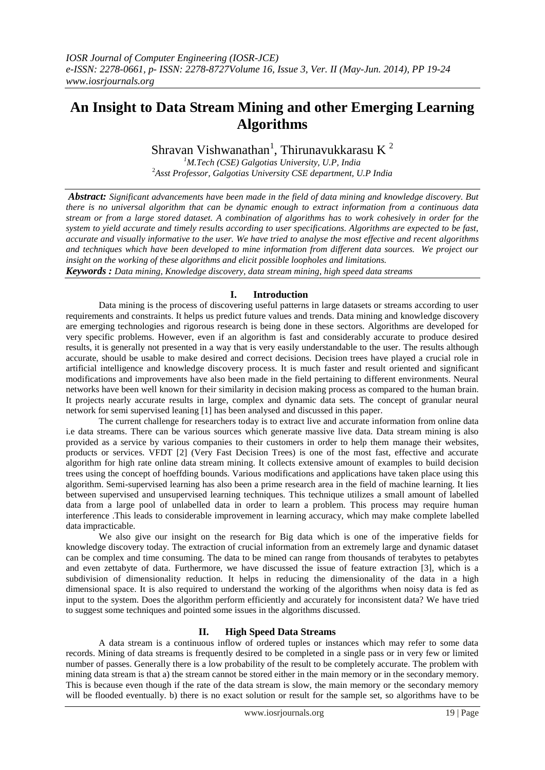# **An Insight to Data Stream Mining and other Emerging Learning Algorithms**

Shravan Vishwanathan<sup>1</sup>, Thirunavukkarasu K<sup>2</sup>

*<sup>1</sup>M.Tech (CSE) Galgotias University, U.P, India* <sup>2</sup>*Asst Professor, Galgotias University CSE department, U.P India*

*Abstract: Significant advancements have been made in the field of data mining and knowledge discovery. But there is no universal algorithm that can be dynamic enough to extract information from a continuous data stream or from a large stored dataset. A combination of algorithms has to work cohesively in order for the system to yield accurate and timely results according to user specifications. Algorithms are expected to be fast, accurate and visually informative to the user. We have tried to analyse the most effective and recent algorithms and techniques which have been developed to mine information from different data sources. We project our insight on the working of these algorithms and elicit possible loopholes and limitations.*

*Keywords : Data mining, Knowledge discovery, data stream mining, high speed data streams*

# **I. Introduction**

Data mining is the process of discovering useful patterns in large datasets or streams according to user requirements and constraints. It helps us predict future values and trends. Data mining and knowledge discovery are emerging technologies and rigorous research is being done in these sectors. Algorithms are developed for very specific problems. However, even if an algorithm is fast and considerably accurate to produce desired results, it is generally not presented in a way that is very easily understandable to the user. The results although accurate, should be usable to make desired and correct decisions. Decision trees have played a crucial role in artificial intelligence and knowledge discovery process. It is much faster and result oriented and significant modifications and improvements have also been made in the field pertaining to different environments. Neural networks have been well known for their similarity in decision making process as compared to the human brain. It projects nearly accurate results in large, complex and dynamic data sets. The concept of granular neural network for semi supervised leaning [1] has been analysed and discussed in this paper.

The current challenge for researchers today is to extract live and accurate information from online data i.e data streams. There can be various sources which generate massive live data. Data stream mining is also provided as a service by various companies to their customers in order to help them manage their websites, products or services. VFDT [2] (Very Fast Decision Trees) is one of the most fast, effective and accurate algorithm for high rate online data stream mining. It collects extensive amount of examples to build decision trees using the concept of hoeffding bounds. Various modifications and applications have taken place using this algorithm. Semi-supervised learning has also been a prime research area in the field of machine learning. It lies between supervised and unsupervised learning techniques. This technique utilizes a small amount of labelled data from a large pool of unlabelled data in order to learn a problem. This process may require human interference .This leads to considerable improvement in learning accuracy, which may make complete labelled data impracticable.

We also give our insight on the research for Big data which is one of the imperative fields for knowledge discovery today. The extraction of crucial information from an extremely large and dynamic dataset can be complex and time consuming. The data to be mined can range from thousands of terabytes to petabytes and even zettabyte of data. Furthermore, we have discussed the issue of feature extraction [3], which is a subdivision of dimensionality reduction. It helps in reducing the dimensionality of the data in a high dimensional space. It is also required to understand the working of the algorithms when noisy data is fed as input to the system. Does the algorithm perform efficiently and accurately for inconsistent data? We have tried to suggest some techniques and pointed some issues in the algorithms discussed.

## **II. High Speed Data Streams**

A data stream is a continuous inflow of ordered tuples or instances which may refer to some data records. Mining of data streams is frequently desired to be completed in a single pass or in very few or limited number of passes. Generally there is a low probability of the result to be completely accurate. The problem with mining data stream is that a) the stream cannot be stored either in the main memory or in the secondary memory. This is because even though if the rate of the data stream is slow, the main memory or the secondary memory will be flooded eventually. b) there is no exact solution or result for the sample set, so algorithms have to be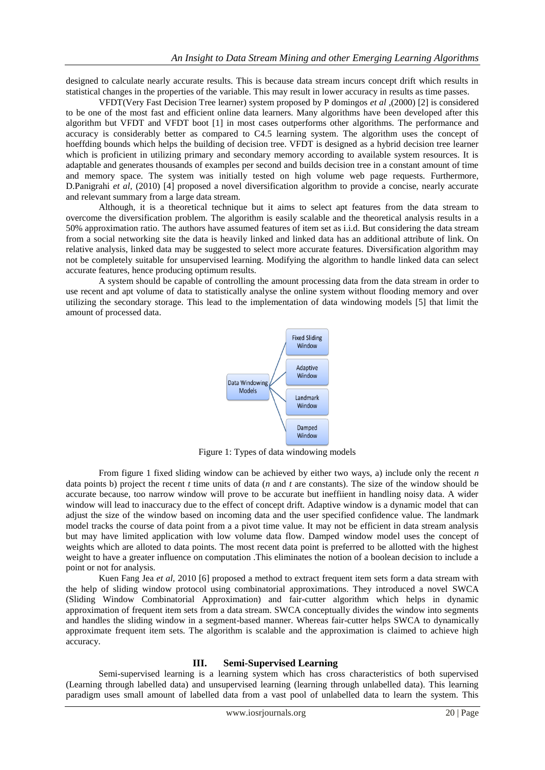designed to calculate nearly accurate results. This is because data stream incurs concept drift which results in statistical changes in the properties of the variable. This may result in lower accuracy in results as time passes.

VFDT(Very Fast Decision Tree learner) system proposed by P domingos *et al* ,(2000) [2] is considered to be one of the most fast and efficient online data learners. Many algorithms have been developed after this algorithm but VFDT and VFDT boot [1] in most cases outperforms other algorithms. The performance and accuracy is considerably better as compared to C4.5 learning system. The algorithm uses the concept of hoeffding bounds which helps the building of decision tree. VFDT is designed as a hybrid decision tree learner which is proficient in utilizing primary and secondary memory according to available system resources. It is adaptable and generates thousands of examples per second and builds decision tree in a constant amount of time and memory space. The system was initially tested on high volume web page requests. Furthermore, D.Panigrahi *et al,* (2010) [4] proposed a novel diversification algorithm to provide a concise, nearly accurate and relevant summary from a large data stream.

Although, it is a theoretical technique but it aims to select apt features from the data stream to overcome the diversification problem. The algorithm is easily scalable and the theoretical analysis results in a 50% approximation ratio. The authors have assumed features of item set as i.i.d. But considering the data stream from a social networking site the data is heavily linked and linked data has an additional attribute of link. On relative analysis, linked data may be suggested to select more accurate features. Diversification algorithm may not be completely suitable for unsupervised learning. Modifying the algorithm to handle linked data can select accurate features, hence producing optimum results.

A system should be capable of controlling the amount processing data from the data stream in order to use recent and apt volume of data to statistically analyse the online system without flooding memory and over utilizing the secondary storage. This lead to the implementation of data windowing models [5] that limit the amount of processed data.



Figure 1: Types of data windowing models

From figure 1 fixed sliding window can be achieved by either two ways, a) include only the recent *n* data points b) project the recent *t* time units of data (*n* and *t* are constants). The size of the window should be accurate because, too narrow window will prove to be accurate but ineffiient in handling noisy data. A wider window will lead to inaccuracy due to the effect of concept drift. Adaptive window is a dynamic model that can adjust the size of the window based on incoming data and the user specified confidence value. The landmark model tracks the course of data point from a a pivot time value. It may not be efficient in data stream analysis but may have limited application with low volume data flow. Damped window model uses the concept of weights which are alloted to data points. The most recent data point is preferred to be allotted with the highest weight to have a greater influence on computation .This eliminates the notion of a boolean decision to include a point or not for analysis.

Kuen Fang Jea *et al,* 2010 [6] proposed a method to extract frequent item sets form a data stream with the help of sliding window protocol using combinatorial approximations. They introduced a novel SWCA (Sliding Window Combinatorial Approximation) and fair-cutter algorithm which helps in dynamic approximation of frequent item sets from a data stream. SWCA conceptually divides the window into segments and handles the sliding window in a segment-based manner. Whereas fair-cutter helps SWCA to dynamically approximate frequent item sets. The algorithm is scalable and the approximation is claimed to achieve high accuracy.

## **III. Semi-Supervised Learning**

Semi-supervised learning is a learning system which has cross characteristics of both supervised (Learning through labelled data) and unsupervised learning (learning through unlabelled data). This learning paradigm uses small amount of labelled data from a vast pool of unlabelled data to learn the system. This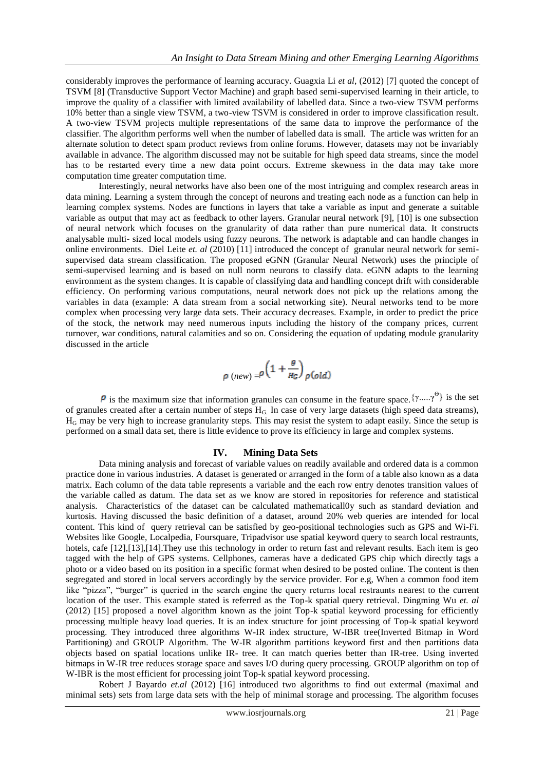considerably improves the performance of learning accuracy. Guagxia Li *et al*, (2012) [7] quoted the concept of TSVM [8] (Transductive Support Vector Machine) and graph based semi-supervised learning in their article, to improve the quality of a classifier with limited availability of labelled data. Since a two-view TSVM performs 10% better than a single view TSVM, a two-view TSVM is considered in order to improve classification result. A two-view TSVM projects multiple representations of the same data to improve the performance of the classifier. The algorithm performs well when the number of labelled data is small. The article was written for an alternate solution to detect spam product reviews from online forums. However, datasets may not be invariably available in advance. The algorithm discussed may not be suitable for high speed data streams, since the model has to be restarted every time a new data point occurs. Extreme skewness in the data may take more computation time greater computation time.

Interestingly, neural networks have also been one of the most intriguing and complex research areas in data mining. Learning a system through the concept of neurons and treating each node as a function can help in learning complex systems. Nodes are functions in layers that take a variable as input and generate a suitable variable as output that may act as feedback to other layers. Granular neural network [9], [10] is one subsection of neural network which focuses on the granularity of data rather than pure numerical data. It constructs analysable multi- sized local models using fuzzy neurons. The network is adaptable and can handle changes in online environments. Diel Leite *et. al* (2010) [11] introduced the concept of granular neural network for semisupervised data stream classification. The proposed eGNN (Granular Neural Network) uses the principle of semi-supervised learning and is based on null norm neurons to classify data. eGNN adapts to the learning environment as the system changes. It is capable of classifying data and handling concept drift with considerable efficiency. On performing various computations, neural network does not pick up the relations among the variables in data (example: A data stream from a social networking site). Neural networks tend to be more complex when processing very large data sets. Their accuracy decreases. Example, in order to predict the price of the stock, the network may need numerous inputs including the history of the company prices, current turnover, war conditions, natural calamities and so on. Considering the equation of updating module granularity discussed in the article

$$
\rho \, (new) = \rho \left( 1 + \frac{\theta}{H_G} \right) \rho (old)
$$

is the maximum size that information granules can consume in the feature space.  $\{\gamma...\gamma^{\Theta}\}\$ is the set of granules created after a certain number of steps  $H_G$ . In case of very large datasets (high speed data streams),  $H<sub>G</sub>$  may be very high to increase granularity steps. This may resist the system to adapt easily. Since the setup is performed on a small data set, there is little evidence to prove its efficiency in large and complex systems.

#### **IV. Mining Data Sets**

Data mining analysis and forecast of variable values on readily available and ordered data is a common practice done in various industries. A dataset is generated or arranged in the form of a table also known as a data matrix. Each column of the data table represents a variable and the each row entry denotes transition values of the variable called as datum. The data set as we know are stored in repositories for reference and statistical analysis. Characteristics of the dataset can be calculated mathematicall0y such as standard deviation and kurtosis. Having discussed the basic definition of a dataset, around 20% web queries are intended for local content. This kind of query retrieval can be satisfied by geo-positional technologies such as GPS and Wi-Fi. Websites like Google, Localpedia, Foursquare, Tripadvisor use spatial keyword query to search local restraunts, hotels, cafe [12],[13],[14]. They use this technology in order to return fast and relevant results. Each item is geo tagged with the help of GPS systems. Cellphones, cameras have a dedicated GPS chip which directly tags a photo or a video based on its position in a specific format when desired to be posted online. The content is then segregated and stored in local servers accordingly by the service provider. For e.g, When a common food item like "pizza", "burger" is queried in the search engine the query returns local restraunts nearest to the current location of the user. This example stated is referred as the Top-k spatial query retrieval. Dingming Wu *et. al* (2012) [15] proposed a novel algorithm known as the joint Top-k spatial keyword processing for efficiently processing multiple heavy load queries. It is an index structure for joint processing of Top-k spatial keyword processing. They introduced three algorithms W-IR index structure, W-IBR tree(Inverted Bitmap in Word Partitioning) and GROUP Algorithm. The W-IR algorithm partitions keyword first and then partitions data objects based on spatial locations unlike IR- tree. It can match queries better than IR-tree. Using inverted bitmaps in W-IR tree reduces storage space and saves I/O during query processing. GROUP algorithm on top of W-IBR is the most efficient for processing joint Top-k spatial keyword processing.

Robert J Bayardo *et.al* (2012) [16] introduced two algorithms to find out extermal (maximal and minimal sets) sets from large data sets with the help of minimal storage and processing. The algorithm focuses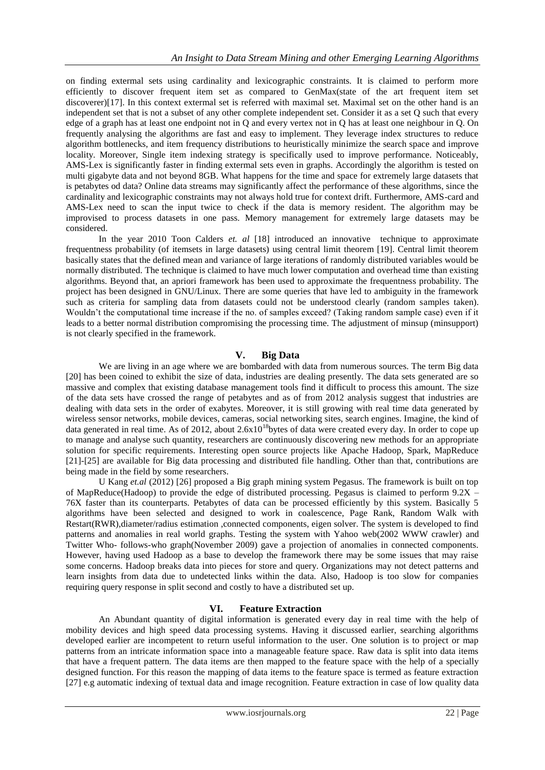on finding extermal sets using cardinality and lexicographic constraints. It is claimed to perform more efficiently to discover frequent item set as compared to GenMax(state of the art frequent item set discoverer)[17]. In this context extermal set is referred with maximal set. Maximal set on the other hand is an independent set that is not a subset of any other complete independent set. Consider it as a set Q such that every edge of a graph has at least one endpoint not in Q and every vertex not in Q has at least one neighbour in Q. On frequently analysing the algorithms are fast and easy to implement. They leverage index structures to reduce algorithm bottlenecks, and item frequency distributions to heuristically minimize the search space and improve locality. Moreover, Single item indexing strategy is specifically used to improve performance. Noticeably, AMS-Lex is significantly faster in finding extermal sets even in graphs. Accordingly the algorithm is tested on multi gigabyte data and not beyond 8GB. What happens for the time and space for extremely large datasets that is petabytes od data? Online data streams may significantly affect the performance of these algorithms, since the cardinality and lexicographic constraints may not always hold true for context drift. Furthermore, AMS-card and AMS-Lex need to scan the input twice to check if the data is memory resident. The algorithm may be improvised to process datasets in one pass. Memory management for extremely large datasets may be considered.

In the year 2010 Toon Calders *et. al* [18] introduced an innovative technique to approximate frequentness probability (of itemsets in large datasets) using central limit theorem [19]. Central limit theorem basically states that the defined mean and variance of large iterations of randomly distributed variables would be normally distributed. The technique is claimed to have much lower computation and overhead time than existing algorithms. Beyond that, an apriori framework has been used to approximate the frequentness probability. The project has been designed in GNU/Linux. There are some queries that have led to ambiguity in the framework such as criteria for sampling data from datasets could not be understood clearly (random samples taken). Wouldn't the computational time increase if the no. of samples exceed? (Taking random sample case) even if it leads to a better normal distribution compromising the processing time. The adjustment of minsup (minsupport) is not clearly specified in the framework.

# **V. Big Data**

We are living in an age where we are bombarded with data from numerous sources. The term Big data [20] has been coined to exhibit the size of data, industries are dealing presently. The data sets generated are so massive and complex that existing database management tools find it difficult to process this amount. The size of the data sets have crossed the range of petabytes and as of from 2012 analysis suggest that industries are dealing with data sets in the order of exabytes. Moreover, it is still growing with real time data generated by wireless sensor networks, mobile devices, cameras, social networking sites, search engines. Imagine, the kind of data generated in real time. As of 2012, about  $2.6x10^{18}$  bytes of data were created every day. In order to cope up to manage and analyse such quantity, researchers are continuously discovering new methods for an appropriate solution for specific requirements. Interesting open source projects like Apache Hadoop, Spark, MapReduce [21]-[25] are available for Big data processing and distributed file handling. Other than that, contributions are being made in the field by some researchers.

U Kang *et.al* (2012) [26] proposed a Big graph mining system Pegasus. The framework is built on top of MapReduce(Hadoop) to provide the edge of distributed processing. Pegasus is claimed to perform  $9.2X$  – 76X faster than its counterparts. Petabytes of data can be processed efficiently by this system. Basically 5 algorithms have been selected and designed to work in coalescence, Page Rank, Random Walk with Restart(RWR),diameter/radius estimation ,connected components, eigen solver. The system is developed to find patterns and anomalies in real world graphs. Testing the system with Yahoo web(2002 WWW crawler) and Twitter Who- follows-who graph(November 2009) gave a projection of anomalies in connected components. However, having used Hadoop as a base to develop the framework there may be some issues that may raise some concerns. Hadoop breaks data into pieces for store and query. Organizations may not detect patterns and learn insights from data due to undetected links within the data. Also, Hadoop is too slow for companies requiring query response in split second and costly to have a distributed set up.

## **VI. Feature Extraction**

An Abundant quantity of digital information is generated every day in real time with the help of mobility devices and high speed data processing systems. Having it discussed earlier, searching algorithms developed earlier are incompetent to return useful information to the user. One solution is to project or map patterns from an intricate information space into a manageable feature space. Raw data is split into data items that have a frequent pattern. The data items are then mapped to the feature space with the help of a specially designed function. For this reason the mapping of data items to the feature space is termed as feature extraction [27] e.g automatic indexing of textual data and image recognition. Feature extraction in case of low quality data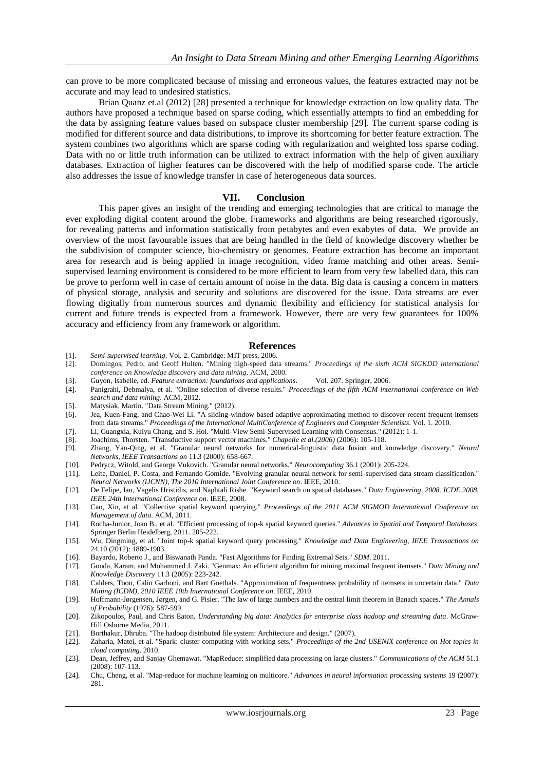can prove to be more complicated because of missing and erroneous values, the features extracted may not be accurate and may lead to undesired statistics.

Brian Quanz et.al (2012) [28] presented a technique for knowledge extraction on low quality data. The authors have proposed a technique based on sparse coding, which essentially attempts to find an embedding for the data by assigning feature values based on subspace cluster membership [29]. The current sparse coding is modified for different source and data distributions, to improve its shortcoming for better feature extraction. The system combines two algorithms which are sparse coding with regularization and weighted loss sparse coding. Data with no or little truth information can be utilized to extract information with the help of given auxiliary databases. Extraction of higher features can be discovered with the help of modified sparse code. The article also addresses the issue of knowledge transfer in case of heterogeneous data sources.

#### **VII. Conclusion**

This paper gives an insight of the trending and emerging technologies that are critical to manage the ever exploding digital content around the globe. Frameworks and algorithms are being researched rigorously, for revealing patterns and information statistically from petabytes and even exabytes of data. We provide an overview of the most favourable issues that are being handled in the field of knowledge discovery whether be the subdivision of computer science, bio-chemistry or genomes. Feature extraction has become an important area for research and is being applied in image recognition, video frame matching and other areas. Semisupervised learning environment is considered to be more efficient to learn from very few labelled data, this can be prove to perform well in case of certain amount of noise in the data. Big data is causing a concern in matters of physical storage, analysis and security and solutions are discovered for the issue. Data streams are ever flowing digitally from numerous sources and dynamic flexibility and efficiency for statistical analysis for current and future trends is expected from a framework. However, there are very few guarantees for 100% accuracy and efficiency from any framework or algorithm.

#### **References**

- [1]. *Semi-supervised learning*. Vol. 2. Cambridge: MIT press, 2006.
- [2]. Domingos, Pedro, and Geoff Hulten. "Mining high-speed data streams." *Proceedings of the sixth ACM SIGKDD international conference on Knowledge discovery and data mining*. ACM, 2000.
- [3]. Guyon, Isabelle, ed. *Feature extraction: foundations and applications*. Vol. 207. Springer, 2006.
- [4]. Panigrahi, Debmalya, et al. "Online selection of diverse results." *Proceedings of the fifth ACM international conference on Web search and data mining*. ACM, 2012.
- [5]. Matysiak, Martin. "Data Stream Mining." (2012).
- [6]. Jea, Kuen-Fang, and Chao-Wei Li. "A sliding-window based adaptive approximating method to discover recent frequent itemsets from data streams." *Proceedings of the International MultiConference of Engineers and Computer Scientists*. Vol. 1. 2010.
- [7]. Li, Guangxia, Kuiyu Chang, and S. Hoi. "Multi-View Semi-Supervised Learning with Consensus." (2012): 1-1.<br>[8] Loachims Thorsten "Transductive support vector machines " Chanelle et al (2006) (2006): 105-118
- [8]. Joachims, Thorsten. "Transductive support vector machines." *Chapelle et al.(2006)* (2006): 105-118.
- [9]. Zhang, Yan-Qing, et al. "Granular neural networks for numerical-linguistic data fusion and knowledge discovery." *Neural Networks, IEEE Transactions on* 11.3 (2000): 658-667.
- [10]. Pedrycz, Witold, and George Vukovich. "Granular neural networks." *Neurocomputing* 36.1 (2001): 205-224.
- [11]. Leite, Daniel, P. Costa, and Fernando Gomide. "Evolving granular neural network for semi-supervised data stream classification." *Neural Networks (IJCNN), The 2010 International Joint Conference on*. IEEE, 2010.
- [12]. De Felipe, Ian, Vagelis Hristidis, and Naphtali Rishe. "Keyword search on spatial databases." *Data Engineering, 2008. ICDE 2008. IEEE 24th International Conference on*. IEEE, 2008.
- [13]. Cao, Xin, et al. "Collective spatial keyword querying." *Proceedings of the 2011 ACM SIGMOD International Conference on Management of data*. ACM, 2011.
- [14]. Rocha-Junior, Joao B., et al. "Efficient processing of top-k spatial keyword queries." *Advances in Spatial and Temporal Databases*. Springer Berlin Heidelberg, 2011. 205-222.
- [15]. Wu, Dingming, et al. "Joint top-k spatial keyword query processing." *Knowledge and Data Engineering, IEEE Transactions on* 24.10 (2012): 1889-1903.
- [16]. Bayardo, Roberto J., and Biswanath Panda. "Fast Algorithms for Finding Extremal Sets." *SDM*. 2011.
- [17]. Gouda, Karam, and Mohammed J. Zaki. "Genmax: An efficient algorithm for mining maximal frequent itemsets." *Data Mining and Knowledge Discovery* 11.3 (2005): 223-242.
- [18]. Calders, Toon, Calin Garboni, and Bart Goethals. "Approximation of frequentness probability of itemsets in uncertain data." *Data Mining (ICDM), 2010 IEEE 10th International Conference on*. IEEE, 2010.
- [19]. Hoffmann-Jørgensen, Jørgen, and G. Pisier. "The law of large numbers and the central limit theorem in Banach spaces." *The Annals of Probability* (1976): 587-599.
- [20]. Zikopoulos, Paul, and Chris Eaton. *Understanding big data: Analytics for enterprise class hadoop and streaming data*. McGraw-Hill Osborne Media, 2011.
- [21]. Borthakur, Dhruba. "The hadoop distributed file system: Architecture and design." (2007).
- [22]. Zaharia, Matei, et al. "Spark: cluster computing with working sets." *Proceedings of the 2nd USENIX conference on Hot topics in cloud computing*. 2010.
- [23]. Dean, Jeffrey, and Sanjay Ghemawat. "MapReduce: simplified data processing on large clusters." *Communications of the ACM* 51.1 (2008): 107-113.
- [24]. Chu, Cheng, et al. "Map-reduce for machine learning on multicore." *Advances in neural information processing systems* 19 (2007): 281.